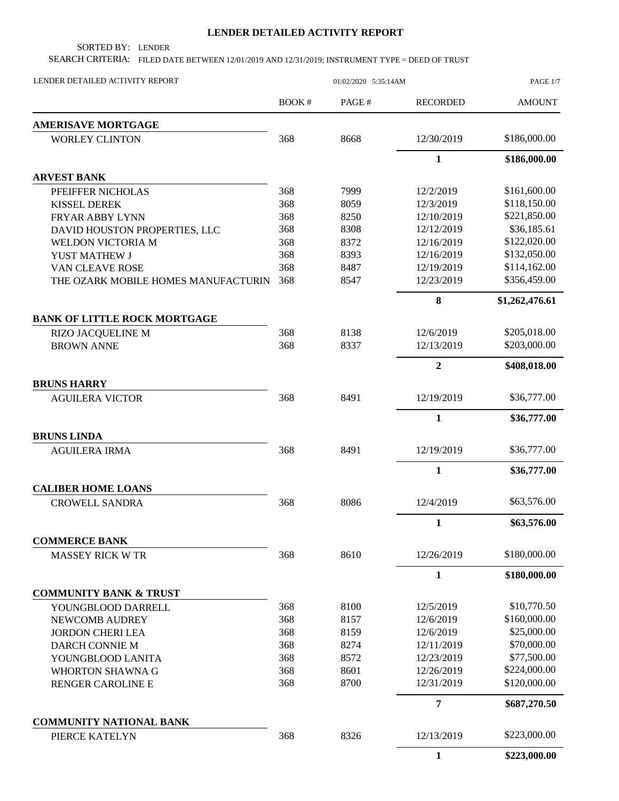## **LENDER DETAILED ACTIVITY REPORT**

SORTED BY: LENDER

SEARCH CRITERIA: FILED DATE BETWEEN 12/01/2019 AND 12/31/2019; INSTRUMENT TYPE = DEED OF TRUST

| LENDER DETAILED ACTIVITY REPORT     | 01/02/2020 5:35:14AM |       |                 | PAGE 1/7       |
|-------------------------------------|----------------------|-------|-----------------|----------------|
|                                     | BOOK#                | PAGE# | <b>RECORDED</b> | <b>AMOUNT</b>  |
| <b>AMERISAVE MORTGAGE</b>           |                      |       |                 |                |
| <b>WORLEY CLINTON</b>               | 368                  | 8668  | 12/30/2019      | \$186,000.00   |
|                                     |                      |       | $\mathbf{1}$    | \$186,000.00   |
| <b>ARVEST BANK</b>                  |                      |       |                 |                |
| PFEIFFER NICHOLAS                   | 368                  | 7999  | 12/2/2019       | \$161,600.00   |
| <b>KISSEL DEREK</b>                 | 368                  | 8059  | 12/3/2019       | \$118,150.00   |
| <b>FRYAR ABBY LYNN</b>              | 368                  | 8250  | 12/10/2019      | \$221,850.00   |
| DAVID HOUSTON PROPERTIES, LLC       | 368                  | 8308  | 12/12/2019      | \$36,185.61    |
| WELDON VICTORIA M                   | 368                  | 8372  | 12/16/2019      | \$122,020.00   |
| YUST MATHEW J                       | 368                  | 8393  | 12/16/2019      | \$132,050.00   |
| VAN CLEAVE ROSE                     | 368                  | 8487  | 12/19/2019      | \$114,162.00   |
| THE OZARK MOBILE HOMES MANUFACTURIN | 368                  | 8547  | 12/23/2019      | \$356,459.00   |
|                                     |                      |       | 8               | \$1,262,476.61 |
| <b>BANK OF LITTLE ROCK MORTGAGE</b> |                      |       |                 |                |
| RIZO JACQUELINE M                   | 368                  | 8138  | 12/6/2019       | \$205,018.00   |
| <b>BROWN ANNE</b>                   | 368                  | 8337  | 12/13/2019      | \$203,000.00   |
|                                     |                      |       | $\overline{2}$  | \$408,018.00   |
| <b>BRUNS HARRY</b>                  |                      |       |                 |                |
| <b>AGUILERA VICTOR</b>              | 368                  | 8491  | 12/19/2019      | \$36,777.00    |
|                                     |                      |       | $\mathbf{1}$    | \$36,777.00    |
| <b>BRUNS LINDA</b>                  |                      |       |                 |                |
| <b>AGUILERA IRMA</b>                | 368                  | 8491  | 12/19/2019      | \$36,777.00    |
|                                     |                      |       | $\mathbf{1}$    | \$36,777.00    |
| <b>CALIBER HOME LOANS</b>           |                      |       |                 |                |
| <b>CROWELL SANDRA</b>               | 368                  | 8086  | 12/4/2019       | \$63,576.00    |
|                                     |                      |       | $\mathbf{1}$    | \$63,576.00    |
| <b>COMMERCE BANK</b>                |                      |       |                 |                |
| <b>MASSEY RICK W TR</b>             | 368                  | 8610  | 12/26/2019      | \$180,000.00   |
|                                     |                      |       | $\mathbf{1}$    | \$180,000.00   |
| <b>COMMUNITY BANK &amp; TRUST</b>   |                      |       |                 |                |
| YOUNGBLOOD DARRELL                  | 368                  | 8100  | 12/5/2019       | \$10,770.50    |
| NEWCOMB AUDREY                      | 368                  | 8157  | 12/6/2019       | \$160,000.00   |
| <b>JORDON CHERI LEA</b>             | 368                  | 8159  | 12/6/2019       | \$25,000.00    |
| DARCH CONNIE M                      | 368                  | 8274  | 12/11/2019      | \$70,000.00    |
| YOUNGBLOOD LANITA                   | 368                  | 8572  | 12/23/2019      | \$77,500.00    |
| <b>WHORTON SHAWNA G</b>             | 368                  | 8601  | 12/26/2019      | \$224,000.00   |
| RENGER CAROLINE E                   | 368                  | 8700  | 12/31/2019      | \$120,000.00   |
|                                     |                      |       | $\overline{7}$  | \$687,270.50   |
| <b>COMMUNITY NATIONAL BANK</b>      |                      |       |                 |                |
| PIERCE KATELYN                      | 368                  | 8326  | 12/13/2019      | \$223,000.00   |
|                                     |                      |       | $\mathbf{1}$    | \$223,000.00   |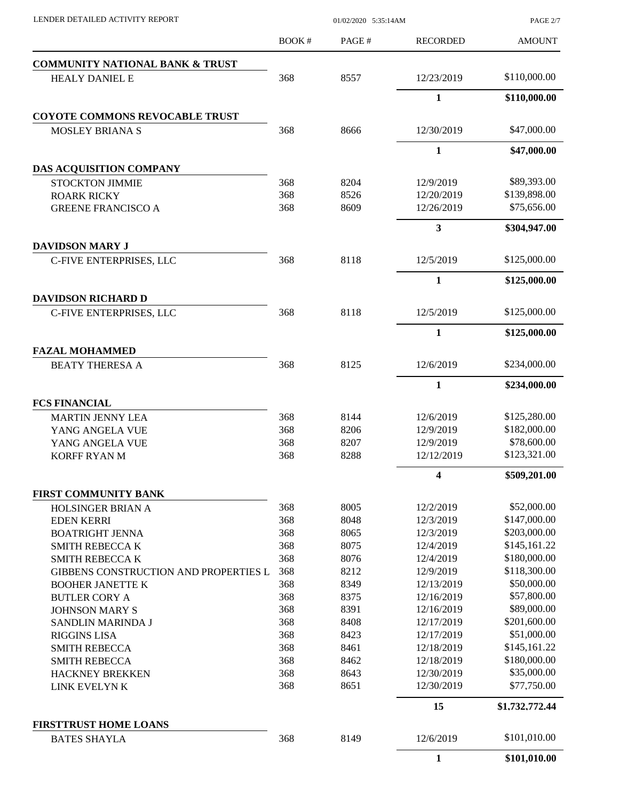PAGE 2/7

|                                              | BOOK#      | PAGE#        | <b>RECORDED</b>          | <b>AMOUNT</b>               |
|----------------------------------------------|------------|--------------|--------------------------|-----------------------------|
| <b>COMMUNITY NATIONAL BANK &amp; TRUST</b>   |            |              |                          |                             |
| <b>HEALY DANIEL E</b>                        | 368        | 8557         | 12/23/2019               | \$110,000.00                |
|                                              |            |              | $\mathbf{1}$             | \$110,000.00                |
| <b>COYOTE COMMONS REVOCABLE TRUST</b>        |            |              |                          |                             |
| <b>MOSLEY BRIANA S</b>                       | 368        | 8666         | 12/30/2019               | \$47,000.00                 |
|                                              |            |              | $\mathbf{1}$             | \$47,000.00                 |
| DAS ACQUISITION COMPANY                      |            |              |                          |                             |
| <b>STOCKTON JIMMIE</b>                       | 368        | 8204         | 12/9/2019                | \$89,393.00                 |
| <b>ROARK RICKY</b>                           | 368        | 8526         | 12/20/2019               | \$139,898.00                |
| <b>GREENE FRANCISCO A</b>                    | 368        | 8609         | 12/26/2019               | \$75,656.00                 |
|                                              |            |              | $\mathbf{3}$             | \$304,947.00                |
| <b>DAVIDSON MARY J</b>                       |            |              |                          |                             |
| C-FIVE ENTERPRISES, LLC                      | 368        | 8118         | 12/5/2019                | \$125,000.00                |
|                                              |            |              | $\mathbf{1}$             | \$125,000.00                |
| <b>DAVIDSON RICHARD D</b>                    |            |              |                          |                             |
| C-FIVE ENTERPRISES, LLC                      | 368        | 8118         | 12/5/2019                | \$125,000.00                |
|                                              |            |              | $\mathbf{1}$             | \$125,000.00                |
| <b>FAZAL MOHAMMED</b>                        |            |              |                          |                             |
| <b>BEATY THERESA A</b>                       | 368        | 8125         | 12/6/2019                | \$234,000.00                |
|                                              |            |              | $\mathbf{1}$             | \$234,000.00                |
| <b>FCS FINANCIAL</b>                         |            |              |                          |                             |
| <b>MARTIN JENNY LEA</b>                      | 368        | 8144         | 12/6/2019                | \$125,280.00                |
| YANG ANGELA VUE                              | 368        | 8206         | 12/9/2019                | \$182,000.00                |
| YANG ANGELA VUE                              | 368        | 8207         | 12/9/2019                | \$78,600.00                 |
| <b>KORFF RYAN M</b>                          | 368        | 8288         | 12/12/2019               | \$123,321.00                |
|                                              |            |              | 4                        | \$509,201.00                |
| FIRST COMMUNITY BANK                         |            |              |                          |                             |
| <b>HOLSINGER BRIAN A</b>                     | 368        | 8005         | 12/2/2019                | \$52,000.00                 |
| <b>EDEN KERRI</b>                            | 368        | 8048         | 12/3/2019                | \$147,000.00                |
| <b>BOATRIGHT JENNA</b>                       | 368        | 8065         | 12/3/2019                | \$203,000.00                |
| <b>SMITH REBECCA K</b>                       | 368        | 8075         | 12/4/2019                | \$145,161.22                |
| <b>SMITH REBECCA K</b>                       | 368        | 8076         | 12/4/2019                | \$180,000.00                |
| <b>GIBBENS CONSTRUCTION AND PROPERTIES L</b> | 368        | 8212         | 12/9/2019                | \$118,300.00                |
| <b>BOOHER JANETTE K</b>                      | 368        | 8349         | 12/13/2019               | \$50,000.00                 |
| <b>BUTLER CORY A</b>                         | 368        | 8375         | 12/16/2019               | \$57,800.00                 |
| <b>JOHNSON MARY S</b>                        | 368        | 8391         | 12/16/2019               | \$89,000.00                 |
| SANDLIN MARINDA J                            | 368        | 8408         | 12/17/2019               | \$201,600.00                |
| <b>RIGGINS LISA</b>                          | 368        | 8423         | 12/17/2019               | \$51,000.00                 |
| <b>SMITH REBECCA</b>                         | 368        | 8461         | 12/18/2019               | \$145,161.22                |
| <b>SMITH REBECCA</b>                         | 368        | 8462         | 12/18/2019               | \$180,000.00<br>\$35,000.00 |
| <b>HACKNEY BREKKEN</b><br>LINK EVELYN K      | 368<br>368 | 8643<br>8651 | 12/30/2019<br>12/30/2019 | \$77,750.00                 |
|                                              |            |              | 15                       | \$1,732,772.44              |
| <b>FIRSTTRUST HOME LOANS</b>                 |            |              |                          |                             |
| <b>BATES SHAYLA</b>                          | 368        | 8149         | 12/6/2019                | \$101,010.00                |
|                                              |            |              | $\mathbf{1}$             | \$101,010.00                |
|                                              |            |              |                          |                             |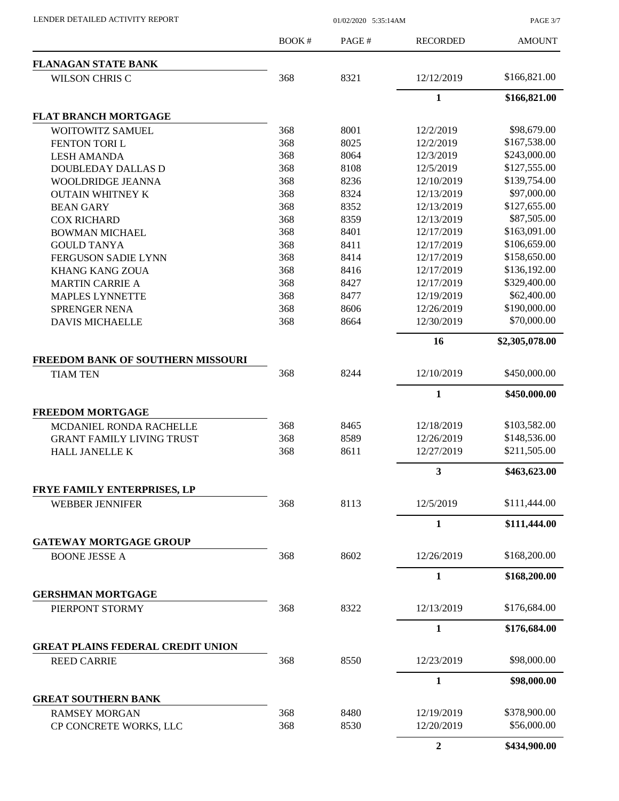PAGE 3/7

|                                          | <b>BOOK#</b> | PAGE# | <b>RECORDED</b> | <b>AMOUNT</b>  |
|------------------------------------------|--------------|-------|-----------------|----------------|
| <b>FLANAGAN STATE BANK</b>               |              |       |                 |                |
| <b>WILSON CHRIS C</b>                    | 368          | 8321  | 12/12/2019      | \$166,821.00   |
|                                          |              |       | $\mathbf{1}$    | \$166,821.00   |
| <b>FLAT BRANCH MORTGAGE</b>              |              |       |                 |                |
| <b>WOITOWITZ SAMUEL</b>                  | 368          | 8001  | 12/2/2019       | \$98,679.00    |
| FENTON TORIL                             | 368          | 8025  | 12/2/2019       | \$167,538.00   |
| <b>LESH AMANDA</b>                       | 368          | 8064  | 12/3/2019       | \$243,000.00   |
| <b>DOUBLEDAY DALLAS D</b>                | 368          | 8108  | 12/5/2019       | \$127,555.00   |
| WOOLDRIDGE JEANNA                        | 368          | 8236  | 12/10/2019      | \$139,754.00   |
| <b>OUTAIN WHITNEY K</b>                  | 368          | 8324  | 12/13/2019      | \$97,000.00    |
| <b>BEAN GARY</b>                         | 368          | 8352  | 12/13/2019      | \$127,655.00   |
| <b>COX RICHARD</b>                       | 368          | 8359  | 12/13/2019      | \$87,505.00    |
| <b>BOWMAN MICHAEL</b>                    | 368          | 8401  | 12/17/2019      | \$163,091.00   |
| <b>GOULD TANYA</b>                       | 368          | 8411  | 12/17/2019      | \$106,659.00   |
| <b>FERGUSON SADIE LYNN</b>               | 368          | 8414  | 12/17/2019      | \$158,650.00   |
| <b>KHANG KANG ZOUA</b>                   | 368          | 8416  | 12/17/2019      | \$136,192.00   |
| <b>MARTIN CARRIE A</b>                   | 368          | 8427  | 12/17/2019      | \$329,400.00   |
| <b>MAPLES LYNNETTE</b>                   | 368          | 8477  | 12/19/2019      | \$62,400.00    |
| <b>SPRENGER NENA</b>                     | 368          | 8606  | 12/26/2019      | \$190,000.00   |
| <b>DAVIS MICHAELLE</b>                   | 368          | 8664  | 12/30/2019      | \$70,000.00    |
|                                          |              |       | 16              | \$2,305,078.00 |
| <b>FREEDOM BANK OF SOUTHERN MISSOURI</b> |              |       |                 |                |
| <b>TIAM TEN</b>                          | 368          | 8244  | 12/10/2019      | \$450,000.00   |
|                                          |              |       | $\mathbf{1}$    | \$450,000.00   |
| <b>FREEDOM MORTGAGE</b>                  |              |       |                 |                |
| MCDANIEL RONDA RACHELLE                  | 368          | 8465  | 12/18/2019      | \$103,582.00   |
| <b>GRANT FAMILY LIVING TRUST</b>         | 368          | 8589  | 12/26/2019      | \$148,536.00   |
| <b>HALL JANELLE K</b>                    | 368          | 8611  | 12/27/2019      | \$211,505.00   |
|                                          |              |       | $\mathbf{3}$    | \$463,623.00   |
| FRYE FAMILY ENTERPRISES, LP              |              |       |                 |                |
| <b>WEBBER JENNIFER</b>                   | 368          | 8113  | 12/5/2019       | \$111,444.00   |
|                                          |              |       | 1               | \$111,444.00   |
| <b>GATEWAY MORTGAGE GROUP</b>            |              |       |                 |                |
| <b>BOONE JESSE A</b>                     | 368          | 8602  | 12/26/2019      | \$168,200.00   |
|                                          |              |       | $\mathbf{1}$    | \$168,200.00   |
| <b>GERSHMAN MORTGAGE</b>                 |              |       |                 |                |
| PIERPONT STORMY                          | 368          | 8322  | 12/13/2019      | \$176,684.00   |
|                                          |              |       | 1               | \$176,684.00   |
| <b>GREAT PLAINS FEDERAL CREDIT UNION</b> |              |       |                 |                |
| <b>REED CARRIE</b>                       | 368          | 8550  | 12/23/2019      | \$98,000.00    |
|                                          |              |       | $\mathbf{1}$    | \$98,000.00    |
| <b>GREAT SOUTHERN BANK</b>               |              |       |                 |                |
| <b>RAMSEY MORGAN</b>                     | 368          | 8480  | 12/19/2019      | \$378,900.00   |
| CP CONCRETE WORKS, LLC                   | 368          | 8530  | 12/20/2019      | \$56,000.00    |
|                                          |              |       | $\overline{2}$  | \$434,900.00   |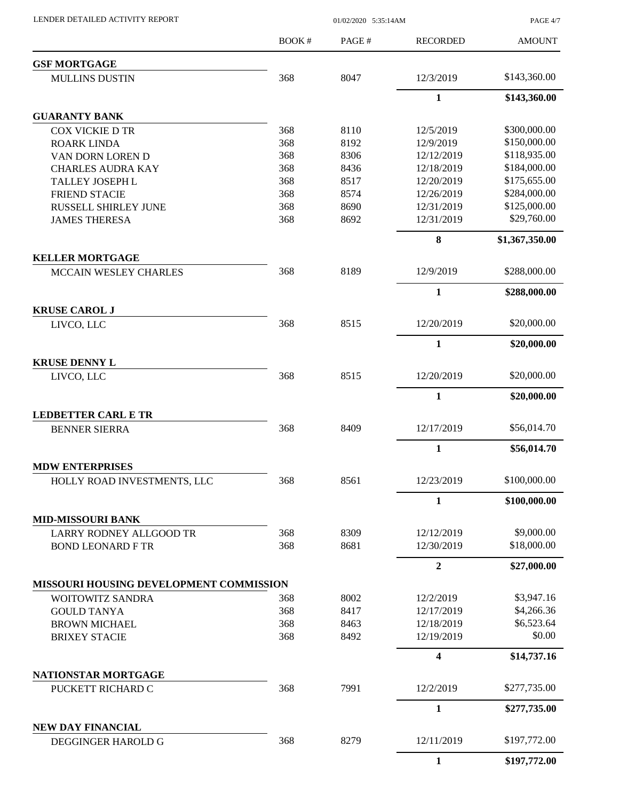PAGE 4/7

|                                                            | BOOK#      | PAGE#        | <b>RECORDED</b>         | <b>AMOUNT</b>  |
|------------------------------------------------------------|------------|--------------|-------------------------|----------------|
| <b>GSF MORTGAGE</b>                                        |            |              |                         |                |
| <b>MULLINS DUSTIN</b>                                      | 368        | 8047         | 12/3/2019               | \$143,360.00   |
|                                                            |            |              | $\mathbf{1}$            | \$143,360.00   |
| <b>GUARANTY BANK</b>                                       |            |              |                         |                |
| <b>COX VICKIE D TR</b>                                     | 368        | 8110         | 12/5/2019               | \$300,000.00   |
| <b>ROARK LINDA</b>                                         | 368        | 8192         | 12/9/2019               | \$150,000.00   |
| VAN DORN LOREN D                                           | 368        | 8306         | 12/12/2019              | \$118,935.00   |
| <b>CHARLES AUDRA KAY</b>                                   | 368        | 8436         | 12/18/2019              | \$184,000.00   |
| <b>TALLEY JOSEPH L</b>                                     | 368        | 8517         | 12/20/2019              | \$175,655.00   |
| <b>FRIEND STACIE</b>                                       | 368        | 8574         | 12/26/2019              | \$284,000.00   |
| RUSSELL SHIRLEY JUNE                                       | 368        | 8690         | 12/31/2019              | \$125,000.00   |
| <b>JAMES THERESA</b>                                       | 368        | 8692         | 12/31/2019              | \$29,760.00    |
|                                                            |            |              | 8                       | \$1,367,350.00 |
| <b>KELLER MORTGAGE</b>                                     |            |              |                         | \$288,000.00   |
| <b>MCCAIN WESLEY CHARLES</b>                               | 368        | 8189         | 12/9/2019               |                |
|                                                            |            |              | $\mathbf{1}$            | \$288,000.00   |
| <b>KRUSE CAROL J</b><br>LIVCO, LLC                         | 368        | 8515         | 12/20/2019              | \$20,000.00    |
|                                                            |            |              | $\mathbf{1}$            | \$20,000.00    |
| <b>KRUSE DENNY L</b>                                       |            |              |                         |                |
| LIVCO, LLC                                                 | 368        | 8515         | 12/20/2019              | \$20,000.00    |
|                                                            |            |              | $\mathbf{1}$            | \$20,000.00    |
| <b>LEDBETTER CARL E TR</b>                                 |            |              |                         |                |
| <b>BENNER SIERRA</b>                                       | 368        | 8409         | 12/17/2019              | \$56,014.70    |
|                                                            |            |              | $\mathbf{1}$            | \$56,014.70    |
| <b>MDW ENTERPRISES</b>                                     |            |              |                         |                |
| HOLLY ROAD INVESTMENTS, LLC                                | 368        | 8561         | 12/23/2019              | \$100,000.00   |
|                                                            |            |              | $\mathbf{1}$            | \$100,000.00   |
| <b>MID-MISSOURI BANK</b><br><b>LARRY RODNEY ALLGOOD TR</b> | 368        | 8309         | 12/12/2019              | \$9,000.00     |
| <b>BOND LEONARD F TR</b>                                   | 368        | 8681         | 12/30/2019              | \$18,000.00    |
|                                                            |            |              |                         |                |
| MISSOURI HOUSING DEVELOPMENT COMMISSION                    |            |              | $\overline{2}$          | \$27,000.00    |
|                                                            |            |              |                         | \$3,947.16     |
| WOITOWITZ SANDRA                                           | 368<br>368 | 8002<br>8417 | 12/2/2019<br>12/17/2019 | \$4,266.36     |
| <b>GOULD TANYA</b><br><b>BROWN MICHAEL</b>                 | 368        | 8463         | 12/18/2019              | \$6,523.64     |
| <b>BRIXEY STACIE</b>                                       | 368        | 8492         | 12/19/2019              | \$0.00         |
|                                                            |            |              |                         |                |
| NATIONSTAR MORTGAGE                                        |            |              | 4                       | \$14,737.16    |
| PUCKETT RICHARD C                                          | 368        | 7991         | 12/2/2019               | \$277,735.00   |
|                                                            |            |              | 1                       | \$277,735.00   |
| NEW DAY FINANCIAL                                          |            |              |                         |                |
| DEGGINGER HAROLD G                                         | 368        | 8279         | 12/11/2019              | \$197,772.00   |
|                                                            |            |              | $\mathbf{1}$            | \$197,772.00   |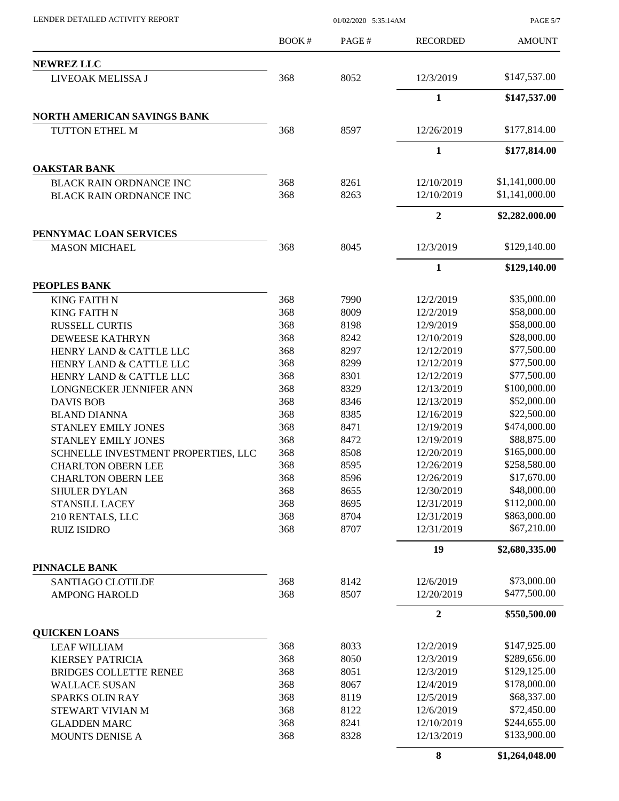PAGE 5/7

|                                               | BOOK#      | PAGE# | <b>RECORDED</b>  | <b>AMOUNT</b>  |
|-----------------------------------------------|------------|-------|------------------|----------------|
| <b>NEWREZ LLC</b>                             |            |       |                  |                |
| LIVEOAK MELISSA J                             | 368        | 8052  | 12/3/2019        | \$147,537.00   |
|                                               |            |       | $\mathbf{1}$     | \$147,537.00   |
|                                               |            |       |                  |                |
| NORTH AMERICAN SAVINGS BANK<br>TUTTON ETHEL M | 368        | 8597  | 12/26/2019       | \$177,814.00   |
|                                               |            |       |                  |                |
|                                               |            |       | $\mathbf{1}$     | \$177,814.00   |
| <b>OAKSTAR BANK</b>                           |            |       |                  |                |
| <b>BLACK RAIN ORDNANCE INC</b>                | 368        | 8261  | 12/10/2019       | \$1,141,000.00 |
| <b>BLACK RAIN ORDNANCE INC</b>                | 368        | 8263  | 12/10/2019       | \$1,141,000.00 |
|                                               |            |       | $\boldsymbol{2}$ | \$2,282,000.00 |
| PENNYMAC LOAN SERVICES                        |            |       |                  |                |
| <b>MASON MICHAEL</b>                          | 368        | 8045  | 12/3/2019        | \$129,140.00   |
|                                               |            |       | $\mathbf{1}$     | \$129,140.00   |
|                                               |            |       |                  |                |
| PEOPLES BANK                                  | 368        | 7990  | 12/2/2019        | \$35,000.00    |
| <b>KING FAITH N</b>                           | 368        | 8009  | 12/2/2019        | \$58,000.00    |
| <b>KING FAITH N</b>                           | 368        | 8198  | 12/9/2019        | \$58,000.00    |
| <b>RUSSELL CURTIS</b>                         |            |       |                  | \$28,000.00    |
| <b>DEWEESE KATHRYN</b>                        | 368        | 8242  | 12/10/2019       | \$77,500.00    |
| HENRY LAND & CATTLE LLC                       | 368        | 8297  | 12/12/2019       |                |
| HENRY LAND & CATTLE LLC                       | 368        | 8299  | 12/12/2019       | \$77,500.00    |
| HENRY LAND & CATTLE LLC                       | 368<br>368 | 8301  | 12/12/2019       | \$77,500.00    |
| LONGNECKER JENNIFER ANN                       |            | 8329  | 12/13/2019       | \$100,000.00   |
| <b>DAVIS BOB</b>                              | 368        | 8346  | 12/13/2019       | \$52,000.00    |
| <b>BLAND DIANNA</b>                           | 368        | 8385  | 12/16/2019       | \$22,500.00    |
| STANLEY EMILY JONES                           | 368        | 8471  | 12/19/2019       | \$474,000.00   |
| <b>STANLEY EMILY JONES</b>                    | 368        | 8472  | 12/19/2019       | \$88,875.00    |
| SCHNELLE INVESTMENT PROPERTIES, LLC           | 368        | 8508  | 12/20/2019       | \$165,000.00   |
| <b>CHARLTON OBERN LEE</b>                     | 368        | 8595  | 12/26/2019       | \$258,580.00   |
| <b>CHARLTON OBERN LEE</b>                     | 368        | 8596  | 12/26/2019       | \$17,670.00    |
| <b>SHULER DYLAN</b>                           | 368        | 8655  | 12/30/2019       | \$48,000.00    |
| <b>STANSILL LACEY</b>                         | 368        | 8695  | 12/31/2019       | \$112,000.00   |
| 210 RENTALS, LLC                              | 368        | 8704  | 12/31/2019       | \$863,000.00   |
| <b>RUIZ ISIDRO</b>                            | 368        | 8707  | 12/31/2019       | \$67,210.00    |
|                                               |            |       | 19               | \$2,680,335.00 |
| PINNACLE BANK                                 |            |       |                  |                |
| <b>SANTIAGO CLOTILDE</b>                      | 368        | 8142  | 12/6/2019        | \$73,000.00    |
| <b>AMPONG HAROLD</b>                          | 368        | 8507  | 12/20/2019       | \$477,500.00   |
|                                               |            |       | $\overline{2}$   | \$550,500.00   |
| <b>QUICKEN LOANS</b>                          |            |       |                  |                |
| <b>LEAF WILLIAM</b>                           | 368        | 8033  | 12/2/2019        | \$147,925.00   |
| <b>KIERSEY PATRICIA</b>                       | 368        | 8050  | 12/3/2019        | \$289,656.00   |
| <b>BRIDGES COLLETTE RENEE</b>                 | 368        | 8051  | 12/3/2019        | \$129,125.00   |
| <b>WALLACE SUSAN</b>                          | 368        | 8067  | 12/4/2019        | \$178,000.00   |
| <b>SPARKS OLIN RAY</b>                        | 368        | 8119  | 12/5/2019        | \$68,337.00    |
| STEWART VIVIAN M                              | 368        | 8122  | 12/6/2019        | \$72,450.00    |
| <b>GLADDEN MARC</b>                           | 368        | 8241  | 12/10/2019       | \$244,655.00   |
| MOUNTS DENISE A                               | 368        | 8328  | 12/13/2019       | \$133,900.00   |
|                                               |            |       | 8                | \$1,264,048.00 |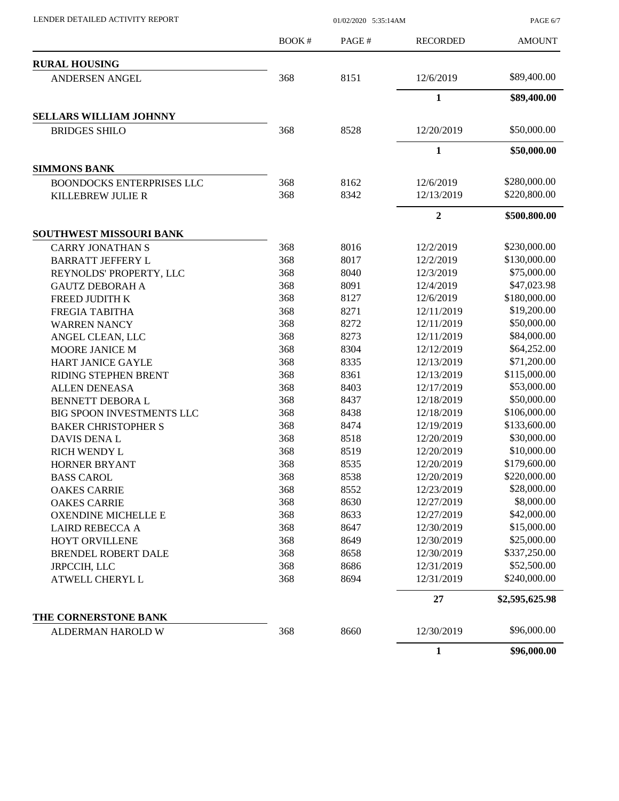PAGE 6/7

|                                  | BOOK# | PAGE# | <b>RECORDED</b> | <b>AMOUNT</b>  |
|----------------------------------|-------|-------|-----------------|----------------|
| <b>RURAL HOUSING</b>             |       |       |                 |                |
| <b>ANDERSEN ANGEL</b>            | 368   | 8151  | 12/6/2019       | \$89,400.00    |
|                                  |       |       | $\mathbf{1}$    | \$89,400.00    |
| <b>SELLARS WILLIAM JOHNNY</b>    |       |       |                 |                |
| <b>BRIDGES SHILO</b>             | 368   | 8528  | 12/20/2019      | \$50,000.00    |
|                                  |       |       | $\mathbf{1}$    | \$50,000.00    |
| <b>SIMMONS BANK</b>              |       |       |                 |                |
| <b>BOONDOCKS ENTERPRISES LLC</b> | 368   | 8162  | 12/6/2019       | \$280,000.00   |
| KILLEBREW JULIE R                | 368   | 8342  | 12/13/2019      | \$220,800.00   |
|                                  |       |       | $\overline{2}$  | \$500,800.00   |
| SOUTHWEST MISSOURI BANK          |       |       |                 |                |
| <b>CARRY JONATHAN S</b>          | 368   | 8016  | 12/2/2019       | \$230,000.00   |
| <b>BARRATT JEFFERY L</b>         | 368   | 8017  | 12/2/2019       | \$130,000.00   |
| REYNOLDS' PROPERTY, LLC          | 368   | 8040  | 12/3/2019       | \$75,000.00    |
| <b>GAUTZ DEBORAH A</b>           | 368   | 8091  | 12/4/2019       | \$47,023.98    |
| FREED JUDITH K                   | 368   | 8127  | 12/6/2019       | \$180,000.00   |
| FREGIA TABITHA                   | 368   | 8271  | 12/11/2019      | \$19,200.00    |
| <b>WARREN NANCY</b>              | 368   | 8272  | 12/11/2019      | \$50,000.00    |
| ANGEL CLEAN, LLC                 | 368   | 8273  | 12/11/2019      | \$84,000.00    |
| MOORE JANICE M                   | 368   | 8304  | 12/12/2019      | \$64,252.00    |
| HART JANICE GAYLE                | 368   | 8335  | 12/13/2019      | \$71,200.00    |
| RIDING STEPHEN BRENT             | 368   | 8361  | 12/13/2019      | \$115,000.00   |
| <b>ALLEN DENEASA</b>             | 368   | 8403  | 12/17/2019      | \$53,000.00    |
| BENNETT DEBORA L                 | 368   | 8437  | 12/18/2019      | \$50,000.00    |
| BIG SPOON INVESTMENTS LLC        | 368   | 8438  | 12/18/2019      | \$106,000.00   |
| <b>BAKER CHRISTOPHER S</b>       | 368   | 8474  | 12/19/2019      | \$133,600.00   |
| DAVIS DENA L                     | 368   | 8518  | 12/20/2019      | \$30,000.00    |
| <b>RICH WENDY L</b>              | 368   | 8519  | 12/20/2019      | \$10,000.00    |
| <b>HORNER BRYANT</b>             | 368   | 8535  | 12/20/2019      | \$179,600.00   |
| <b>BASS CAROL</b>                | 368   | 8538  | 12/20/2019      | \$220,000.00   |
| <b>OAKES CARRIE</b>              | 368   | 8552  | 12/23/2019      | \$28,000.00    |
| <b>OAKES CARRIE</b>              | 368   | 8630  | 12/27/2019      | \$8,000.00     |
| <b>OXENDINE MICHELLE E</b>       | 368   | 8633  | 12/27/2019      | \$42,000.00    |
| <b>LAIRD REBECCA A</b>           | 368   | 8647  | 12/30/2019      | \$15,000.00    |
| HOYT ORVILLENE                   | 368   | 8649  | 12/30/2019      | \$25,000.00    |
| <b>BRENDEL ROBERT DALE</b>       | 368   | 8658  | 12/30/2019      | \$337,250.00   |
| JRPCCIH, LLC                     | 368   | 8686  | 12/31/2019      | \$52,500.00    |
| ATWELL CHERYL L                  | 368   | 8694  | 12/31/2019      | \$240,000.00   |
|                                  |       |       | 27              | \$2,595,625.98 |
| THE CORNERSTONE BANK             |       |       |                 |                |
| ALDERMAN HAROLD W                | 368   | 8660  | 12/30/2019      | \$96,000.00    |
|                                  |       |       | $\mathbf{1}$    | \$96,000.00    |